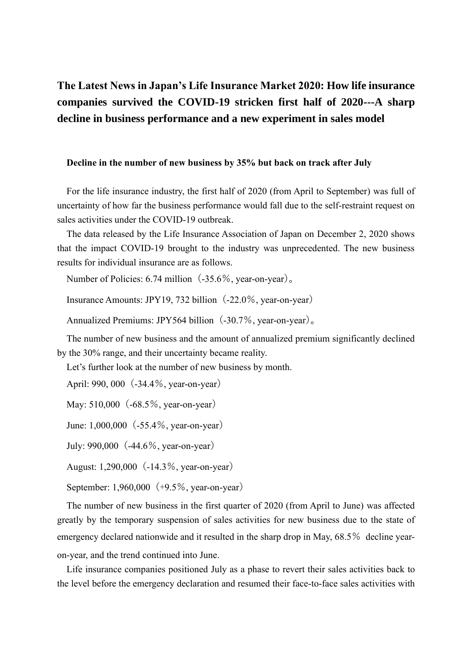# **The Latest News in Japan's Life Insurance Market 2020: How life insurance companies survived the COVID-19 stricken first half of 2020---A sharp decline in business performance and a new experiment in sales model**

#### **Decline in the number of new business by 35% but back on track after July**

For the life insurance industry, the first half of 2020 (from April to September) was full of uncertainty of how far the business performance would fall due to the self-restraint request on sales activities under the COVID-19 outbreak.

The data released by the Life Insurance Association of Japan on December 2, 2020 shows that the impact COVID-19 brought to the industry was unprecedented. The new business results for individual insurance are as follows.

Number of Policies: 6.74 million  $(-35.6\%$ , year-on-year).

Insurance Amounts: JPY19, 732 billion $(-22.0\%$ , year-on-year)

Annualized Premiums: JPY564 billion $(-30.7\%$ , year-on-year).

The number of new business and the amount of annualized premium significantly declined by the 30% range, and their uncertainty became reality.

Let's further look at the number of new business by month.

April: 990, 000 (-34.4%, year-on-year)

May: 510,000 (-68.5%, year-on-year)

June: 1,000,000 (-55.4%, year-on-year)

July: 990,000(-44.6%, year-on-year)

August: 1,290,000 (-14.3%, year-on-year)

September: 1,960,000 (+9.5%, year-on-year)

The number of new business in the first quarter of 2020 (from April to June) was affected greatly by the temporary suspension of sales activities for new business due to the state of emergency declared nationwide and it resulted in the sharp drop in May, 68.5% decline yearon-year, and the trend continued into June.

Life insurance companies positioned July as a phase to revert their sales activities back to the level before the emergency declaration and resumed their face-to-face sales activities with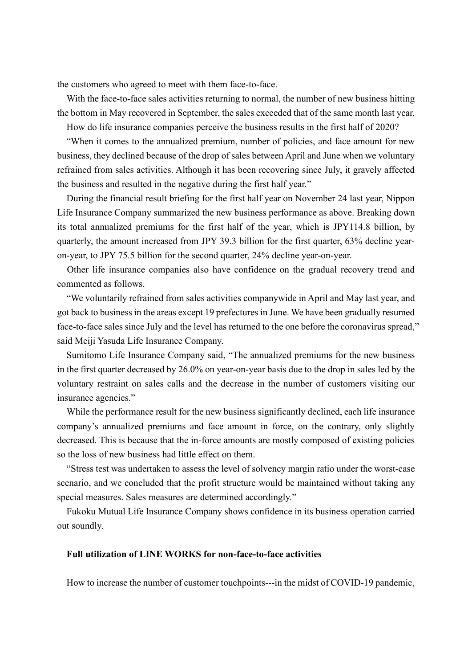the customers who agreed to meet with them face-to-face.

With the face-to-face sales activities returning to normal, the number of new business hitting the bottom in May recovered in September, the sales exceeded that of the same month last year.

How do life insurance companies perceive the business results in the first half of 2020?

"When it comes to the annualized premium, number of policies, and face amount for new business, they declined because of the drop of sales between April and June when we voluntary refrained from sales activities. Although it has been recovering since July, it gravely affected the business and resulted in the negative during the first half year."

During the financial result briefing for the first half year on November 24 last year, Nippon Life Insurance Company summarized the new business performance as above. Breaking down its total annualized premiums for the first half of the year, which is JPY114.8 billion, by quarterly, the amount increased from JPY 39.3 billion for the first quarter, 63% decline yearon-year, to JPY 75.5 billion for the second quarter, 24% decline year-on-year.

Other life insurance companies also have confidence on the gradual recovery trend and commented as follows.

"We voluntarily refrained from sales activities companywide in April and May last year, and got back to business in the areas except 19 prefectures in June. We have been gradually resumed face-to-face sales since July and the level has returned to the one before the coronavirus spread," said Meiji Yasuda Life Insurance Company.

Sumitomo Life Insurance Company said, "The annualized premiums for the new business in the first quarter decreased by 26.0% on year-on-year basis due to the drop in sales led by the voluntary restraint on sales calls and the decrease in the number of customers visiting our insurance agencies."

While the performance result for the new business significantly declined, each life insurance company's annualized premiums and face amount in force, on the contrary, only slightly decreased. This is because that the in-force amounts are mostly composed of existing policies so the loss of new business had little effect on them.

"Stress test was undertaken to assess the level of solvency margin ratio under the worst-case scenario, and we concluded that the profit structure would be maintained without taking any special measures. Sales measures are determined accordingly."

Fukoku Mutual Life Insurance Company shows confidence in its business operation carried out soundly.

## **Full utilization of LINE WORKS for non-face-to-face activities**

How to increase the number of customer touchpoints---in the midst of COVID-19 pandemic,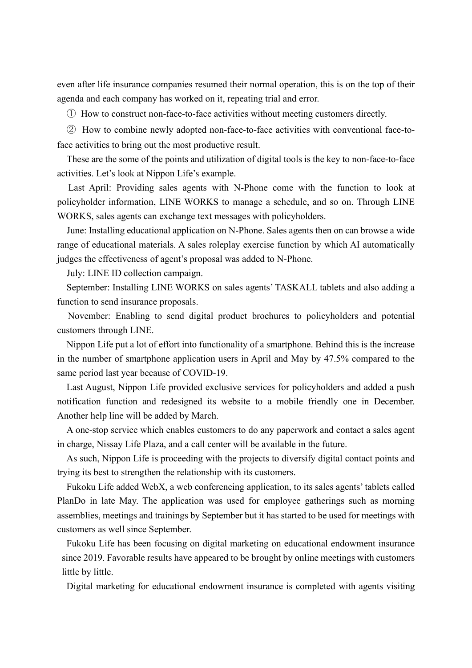even after life insurance companies resumed their normal operation, this is on the top of their agenda and each company has worked on it, repeating trial and error.

① How to construct non-face-to-face activities without meeting customers directly.

② How to combine newly adopted non-face-to-face activities with conventional face-toface activities to bring out the most productive result.

These are the some of the points and utilization of digital tools is the key to non-face-to-face activities. Let's look at Nippon Life's example.

Last April: Providing sales agents with N-Phone come with the function to look at policyholder information, LINE WORKS to manage a schedule, and so on. Through LINE WORKS, sales agents can exchange text messages with policyholders.

June: Installing educational application on N-Phone. Sales agents then on can browse a wide range of educational materials. A sales roleplay exercise function by which AI automatically judges the effectiveness of agent's proposal was added to N-Phone.

July: LINE ID collection campaign.

September: Installing LINE WORKS on sales agents' TASKALL tablets and also adding a function to send insurance proposals.

November: Enabling to send digital product brochures to policyholders and potential customers through LINE.

Nippon Life put a lot of effort into functionality of a smartphone. Behind this is the increase in the number of smartphone application users in April and May by 47.5% compared to the same period last year because of COVID-19.

Last August, Nippon Life provided exclusive services for policyholders and added a push notification function and redesigned its website to a mobile friendly one in December. Another help line will be added by March.

A one-stop service which enables customers to do any paperwork and contact a sales agent in charge, Nissay Life Plaza, and a call center will be available in the future.

As such, Nippon Life is proceeding with the projects to diversify digital contact points and trying its best to strengthen the relationship with its customers.

Fukoku Life added WebX, a web conferencing application, to its sales agents' tablets called PlanDo in late May. The application was used for employee gatherings such as morning assemblies, meetings and trainings by September but it has started to be used for meetings with customers as well since September.

Fukoku Life has been focusing on digital marketing on educational endowment insurance since 2019. Favorable results have appeared to be brought by online meetings with customers little by little.

Digital marketing for educational endowment insurance is completed with agents visiting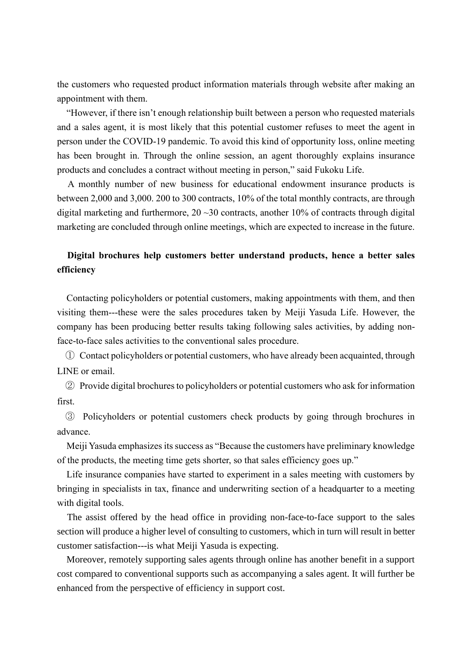the customers who requested product information materials through website after making an appointment with them.

"However, if there isn't enough relationship built between a person who requested materials and a sales agent, it is most likely that this potential customer refuses to meet the agent in person under the COVID-19 pandemic. To avoid this kind of opportunity loss, online meeting has been brought in. Through the online session, an agent thoroughly explains insurance products and concludes a contract without meeting in person," said Fukoku Life.

A monthly number of new business for educational endowment insurance products is between 2,000 and 3,000. 200 to 300 contracts, 10% of the total monthly contracts, are through digital marketing and furthermore,  $20 \sim 30$  contracts, another 10% of contracts through digital marketing are concluded through online meetings, which are expected to increase in the future.

# **Digital brochures help customers better understand products, hence a better sales efficiency**

Contacting policyholders or potential customers, making appointments with them, and then visiting them---these were the sales procedures taken by Meiji Yasuda Life. However, the company has been producing better results taking following sales activities, by adding nonface-to-face sales activities to the conventional sales procedure.

① Contact policyholders or potential customers, who have already been acquainted, through LINE or email.

② Provide digital brochures to policyholders or potential customers who ask for information first.

③ Policyholders or potential customers check products by going through brochures in advance.

Meiji Yasuda emphasizes its success as "Because the customers have preliminary knowledge of the products, the meeting time gets shorter, so that sales efficiency goes up."

Life insurance companies have started to experiment in a sales meeting with customers by bringing in specialists in tax, finance and underwriting section of a headquarter to a meeting with digital tools.

The assist offered by the head office in providing non-face-to-face support to the sales section will produce a higher level of consulting to customers, which in turn will result in better customer satisfaction---is what Meiji Yasuda is expecting.

Moreover, remotely supporting sales agents through online has another benefit in a support cost compared to conventional supports such as accompanying a sales agent. It will further be enhanced from the perspective of efficiency in support cost.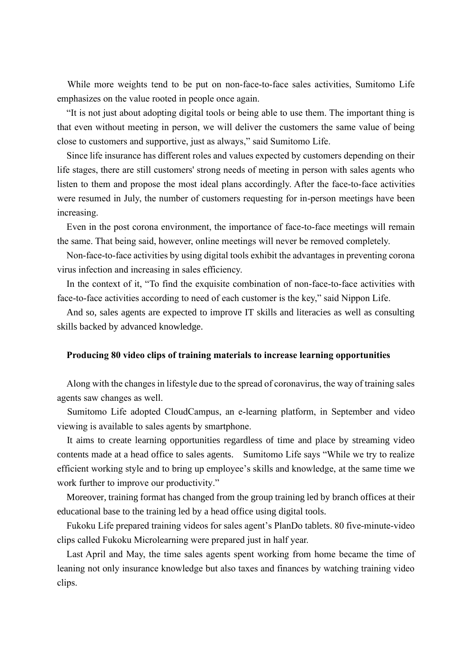While more weights tend to be put on non-face-to-face sales activities, Sumitomo Life emphasizes on the value rooted in people once again.

"It is not just about adopting digital tools or being able to use them. The important thing is that even without meeting in person, we will deliver the customers the same value of being close to customers and supportive, just as always," said Sumitomo Life.

Since life insurance has different roles and values expected by customers depending on their life stages, there are still customers' strong needs of meeting in person with sales agents who listen to them and propose the most ideal plans accordingly. After the face-to-face activities were resumed in July, the number of customers requesting for in-person meetings have been increasing.

Even in the post corona environment, the importance of face-to-face meetings will remain the same. That being said, however, online meetings will never be removed completely.

Non-face-to-face activities by using digital tools exhibit the advantages in preventing corona virus infection and increasing in sales efficiency.

In the context of it, "To find the exquisite combination of non-face-to-face activities with face-to-face activities according to need of each customer is the key," said Nippon Life.

And so, sales agents are expected to improve IT skills and literacies as well as consulting skills backed by advanced knowledge.

### **Producing 80 video clips of training materials to increase learning opportunities**

Along with the changes in lifestyle due to the spread of coronavirus, the way of training sales agents saw changes as well.

Sumitomo Life adopted CloudCampus, an e-learning platform, in September and video viewing is available to sales agents by smartphone.

It aims to create learning opportunities regardless of time and place by streaming video contents made at a head office to sales agents. Sumitomo Life says "While we try to realize efficient working style and to bring up employee's skills and knowledge, at the same time we work further to improve our productivity."

Moreover, training format has changed from the group training led by branch offices at their educational base to the training led by a head office using digital tools.

Fukoku Life prepared training videos for sales agent's PlanDo tablets. 80 five-minute-video clips called Fukoku Microlearning were prepared just in half year.

Last April and May, the time sales agents spent working from home became the time of leaning not only insurance knowledge but also taxes and finances by watching training video clips.